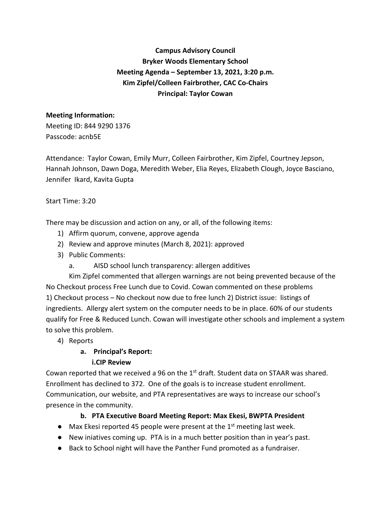**Campus Advisory Council Bryker Woods Elementary School Meeting Agenda – September 13, 2021, 3:20 p.m. Kim Zipfel/Colleen Fairbrother, CAC Co-Chairs Principal: Taylor Cowan**

# **Meeting Information:**

Meeting ID: 844 9290 1376 Passcode: acnb5E

Attendance: Taylor Cowan, Emily Murr, Colleen Fairbrother, Kim Zipfel, Courtney Jepson, Hannah Johnson, Dawn Doga, Meredith Weber, Elia Reyes, Elizabeth Clough, Joyce Basciano, Jennifer Ikard, Kavita Gupta

#### Start Time: 3:20

There may be discussion and action on any, or all, of the following items:

- 1) Affirm quorum, convene, approve agenda
- 2) Review and approve minutes (March 8, 2021): approved
- 3) Public Comments:
	- a. AISD school lunch transparency: allergen additives

Kim Zipfel commented that allergen warnings are not being prevented because of the No Checkout process Free Lunch due to Covid. Cowan commented on these problems 1) Checkout process – No checkout now due to free lunch 2) District issue: listings of ingredients. Allergy alert system on the computer needs to be in place. 60% of our students qualify for Free & Reduced Lunch. Cowan will investigate other schools and implement a system to solve this problem.

4) Reports

### **a. Principal's Report:**

#### **i.CIP Review**

Cowan reported that we received a 96 on the  $1<sup>st</sup>$  draft. Student data on STAAR was shared. Enrollment has declined to 372. One of the goals is to increase student enrollment. Communication, our website, and PTA representatives are ways to increase our school's presence in the community.

### **b. PTA Executive Board Meeting Report: Max Ekesi, BWPTA President**

- $\bullet$  Max Ekesi reported 45 people were present at the 1<sup>st</sup> meeting last week.
- New iniatives coming up. PTA is in a much better position than in year's past.
- Back to School night will have the Panther Fund promoted as a fundraiser.